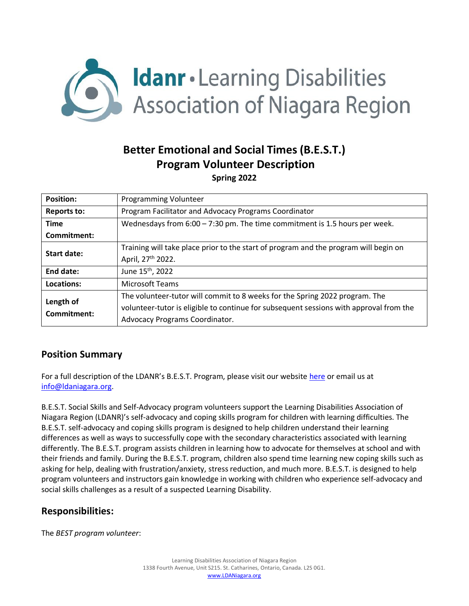

# **Better Emotional and Social Times (B.E.S.T.) Program Volunteer Description**

**Spring 2022**

| <b>Position:</b>         | <b>Programming Volunteer</b>                                                           |
|--------------------------|----------------------------------------------------------------------------------------|
| <b>Reports to:</b>       | Program Facilitator and Advocacy Programs Coordinator                                  |
| <b>Time</b>              | Wednesdays from $6:00 - 7:30$ pm. The time commitment is 1.5 hours per week.           |
| Commitment:              |                                                                                        |
| Start date:              | Training will take place prior to the start of program and the program will begin on   |
|                          | April, 27 <sup>th</sup> 2022.                                                          |
| End date:                | June 15 <sup>th</sup> , 2022                                                           |
| Locations:               | <b>Microsoft Teams</b>                                                                 |
| Length of<br>Commitment: | The volunteer-tutor will commit to 8 weeks for the Spring 2022 program. The            |
|                          | volunteer-tutor is eligible to continue for subsequent sessions with approval from the |
|                          | Advocacy Programs Coordinator.                                                         |

# **Position Summary**

For a full description of the LDANR's B.E.S.T. Program, please visit our website [here](https://ldaniagara.org/programs/b-e-s-t/) or email us at [info@ldaniagara.org.](mailto:info@ldaniagara.org)

B.E.S.T. Social Skills and Self-Advocacy program volunteers support the Learning Disabilities Association of Niagara Region (LDANR)'s self-advocacy and coping skills program for children with learning difficulties. The B.E.S.T. self-advocacy and coping skills program is designed to help children understand their learning differences as well as ways to successfully cope with the secondary characteristics associated with learning differently. The B.E.S.T. program assists children in learning how to advocate for themselves at school and with their friends and family. During the B.E.S.T. program, children also spend time learning new coping skills such as asking for help, dealing with frustration/anxiety, stress reduction, and much more. B.E.S.T. is designed to help program volunteers and instructors gain knowledge in working with children who experience self-advocacy and social skills challenges as a result of a suspected Learning Disability.

# **Responsibilities:**

The *BEST program volunteer*: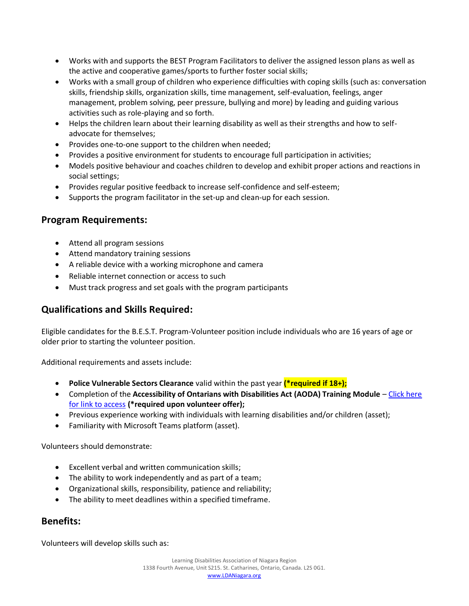- Works with and supports the BEST Program Facilitators to deliver the assigned lesson plans as well as the active and cooperative games/sports to further foster social skills;
- Works with a small group of children who experience difficulties with coping skills (such as: conversation skills, friendship skills, organization skills, time management, self-evaluation, feelings, anger management, problem solving, peer pressure, bullying and more) by leading and guiding various activities such as role-playing and so forth.
- Helps the children learn about their learning disability as well as their strengths and how to selfadvocate for themselves;
- Provides one-to-one support to the children when needed;
- Provides a positive environment for students to encourage full participation in activities;
- Models positive behaviour and coaches children to develop and exhibit proper actions and reactions in social settings;
- Provides regular positive feedback to increase self-confidence and self-esteem;
- Supports the program facilitator in the set-up and clean-up for each session.

# **Program Requirements:**

- Attend all program sessions
- Attend mandatory training sessions
- A reliable device with a working microphone and camera
- Reliable internet connection or access to such
- Must track progress and set goals with the program participants

# **Qualifications and Skills Required:**

Eligible candidates for the B.E.S.T. Program-Volunteer position include individuals who are 16 years of age or older prior to starting the volunteer position.

Additional requirements and assets include:

- **Police Vulnerable Sectors Clearance** valid within the past year **(\*required if 18+);**
- Completion of the **Accessibility of Ontarians with Disabilities Act (AODA) Training Module** Click here [for link to access](http://www.ohrc.on.ca/en/learning/working-together-code-and-aoda/certificate-version) **(\*required upon volunteer offer);**
- Previous experience working with individuals with learning disabilities and/or children (asset);
- Familiarity with Microsoft Teams platform (asset).

Volunteers should demonstrate:

- Excellent verbal and written communication skills;
- The ability to work independently and as part of a team;
- Organizational skills, responsibility, patience and reliability;
- The ability to meet deadlines within a specified timeframe.

# **Benefits:**

Volunteers will develop skills such as: